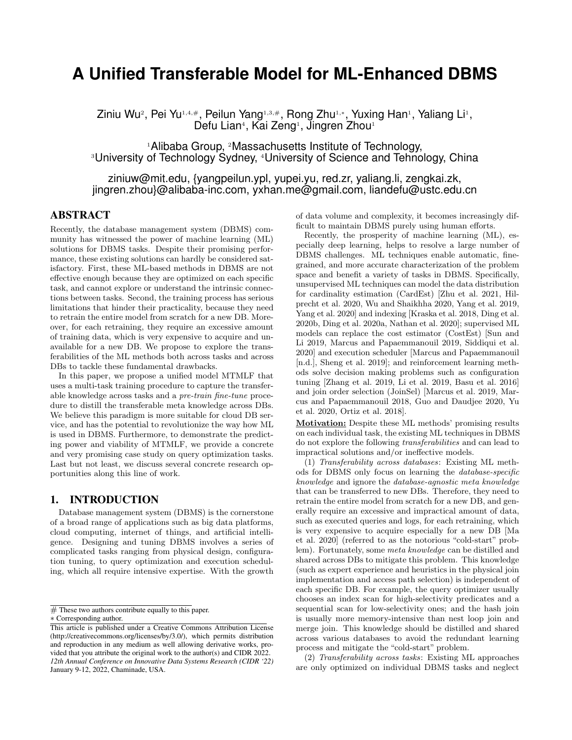# **A Unified Transferable Model for ML-Enhanced DBMS**

Ziniu Wu<sup>2</sup>, Pei Yu1,4,#, Peilun Yang1,3,#, Rong Zhu1,\*, Yuxing Han1, Yaliang Li1, Defu Lian<sup>4</sup>, Kai Zeng<sup>1</sup>, Jingren Zhou<sup>1</sup>

<sup>1</sup>Alibaba Group, <sup>2</sup>Massachusetts Institute of Technology, <sup>3</sup>University of Technology Sydney, <sup>4</sup>University of Science and Tehnology, China

ziniuw@mit.edu, {yangpeilun.ypl, yupei.yu, red.zr, yaliang.li, zengkai.zk, jingren.zhou}@alibaba-inc.com, yxhan.me@gmail.com, liandefu@ustc.edu.cn

# ABSTRACT

Recently, the database management system (DBMS) community has witnessed the power of machine learning (ML) solutions for DBMS tasks. Despite their promising performance, these existing solutions can hardly be considered satisfactory. First, these ML-based methods in DBMS are not effective enough because they are optimized on each specific task, and cannot explore or understand the intrinsic connections between tasks. Second, the training process has serious limitations that hinder their practicality, because they need to retrain the entire model from scratch for a new DB. Moreover, for each retraining, they require an excessive amount of training data, which is very expensive to acquire and unavailable for a new DB. We propose to explore the transferabilities of the ML methods both across tasks and across DBs to tackle these fundamental drawbacks.

In this paper, we propose a unified model MTMLF that uses a multi-task training procedure to capture the transferable knowledge across tasks and a pre-train fine-tune procedure to distill the transferable meta knowledge across DBs. We believe this paradigm is more suitable for cloud DB service, and has the potential to revolutionize the way how ML is used in DBMS. Furthermore, to demonstrate the predicting power and viability of MTMLF, we provide a concrete and very promising case study on query optimization tasks. Last but not least, we discuss several concrete research opportunities along this line of work.

#### 1. INTRODUCTION

Database management system (DBMS) is the cornerstone of a broad range of applications such as big data platforms, cloud computing, internet of things, and artificial intelligence. Designing and tuning DBMS involves a series of complicated tasks ranging from physical design, configuration tuning, to query optimization and execution scheduling, which all require intensive expertise. With the growth

 $#$  These two authors contribute equally to this paper.

of data volume and complexity, it becomes increasingly difficult to maintain DBMS purely using human efforts.

Recently, the prosperity of machine learning (ML), especially deep learning, helps to resolve a large number of DBMS challenges. ML techniques enable automatic, finegrained, and more accurate characterization of the problem space and benefit a variety of tasks in DBMS. Specifically, unsupervised ML techniques can model the data distribution for cardinality estimation (CardEst) [Zhu et al. 2021, Hilprecht et al. 2020, Wu and Shaikhha 2020, Yang et al. 2019, Yang et al. 2020] and indexing [Kraska et al. 2018, Ding et al. 2020b, Ding et al. 2020a, Nathan et al. 2020]; supervised ML models can replace the cost estimator (CostEst) [Sun and Li 2019, Marcus and Papaemmanouil 2019, Siddiqui et al. 2020] and execution scheduler [Marcus and Papaemmanouil [n.d.], Sheng et al. 2019]; and reinforcement learning methods solve decision making problems such as configuration tuning [Zhang et al. 2019, Li et al. 2019, Basu et al. 2016] and join order selection (JoinSel) [Marcus et al. 2019, Marcus and Papaemmanouil 2018, Guo and Daudjee 2020, Yu et al. 2020, Ortiz et al. 2018].

Motivation: Despite these ML methods' promising results on each individual task, the existing ML techniques in DBMS do not explore the following transferabilities and can lead to impractical solutions and/or ineffective models.

(1) Transferability across databases: Existing ML methods for DBMS only focus on learning the database-specific knowledge and ignore the database-agnostic meta knowledge that can be transferred to new DBs. Therefore, they need to retrain the entire model from scratch for a new DB, and generally require an excessive and impractical amount of data, such as executed queries and logs, for each retraining, which is very expensive to acquire especially for a new DB [Ma et al. 2020] (referred to as the notorious "cold-start" problem). Fortunately, some meta knowledge can be distilled and shared across DBs to mitigate this problem. This knowledge (such as expert experience and heuristics in the physical join implementation and access path selection) is independent of each specific DB. For example, the query optimizer usually chooses an index scan for high-selectivity predicates and a sequential scan for low-selectivity ones; and the hash join is usually more memory-intensive than nest loop join and merge join. This knowledge should be distilled and shared across various databases to avoid the redundant learning process and mitigate the "cold-start" problem.

(2) Transferability across tasks: Existing ML approaches are only optimized on individual DBMS tasks and neglect

<sup>∗</sup> Corresponding author.

This article is published under a Creative Commons Attribution License (http://creativecommons.org/licenses/by/3.0/), which permits distribution and reproduction in any medium as well allowing derivative works, provided that you attribute the original work to the author(s) and CIDR 2022. *12th Annual Conference on Innovative Data Systems Research (CIDR '22)* January 9-12, 2022, Chaminade, USA.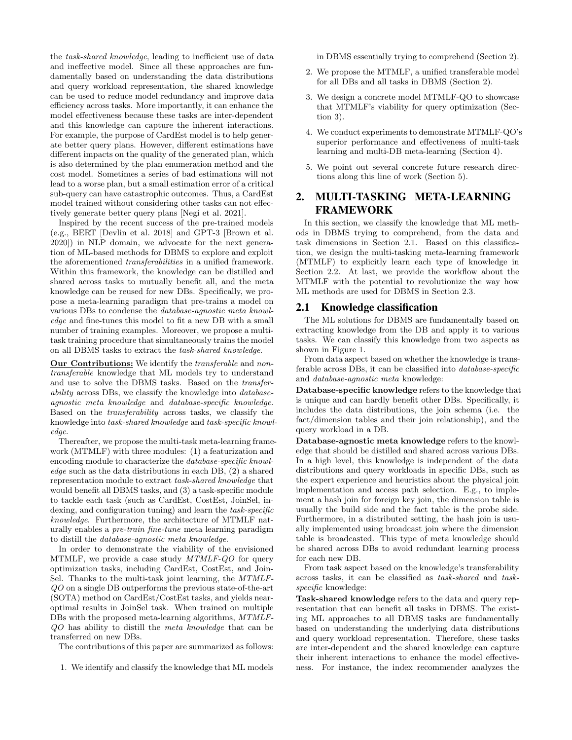the task-shared knowledge, leading to inefficient use of data and ineffective model. Since all these approaches are fundamentally based on understanding the data distributions and query workload representation, the shared knowledge can be used to reduce model redundancy and improve data efficiency across tasks. More importantly, it can enhance the model effectiveness because these tasks are inter-dependent and this knowledge can capture the inherent interactions. For example, the purpose of CardEst model is to help generate better query plans. However, different estimations have different impacts on the quality of the generated plan, which is also determined by the plan enumeration method and the cost model. Sometimes a series of bad estimations will not lead to a worse plan, but a small estimation error of a critical sub-query can have catastrophic outcomes. Thus, a CardEst model trained without considering other tasks can not effectively generate better query plans [Negi et al. 2021].

Inspired by the recent success of the pre-trained models (e.g., BERT [Devlin et al. 2018] and GPT-3 [Brown et al. 2020]) in NLP domain, we advocate for the next generation of ML-based methods for DBMS to explore and exploit the aforementioned transferabilities in a unified framework. Within this framework, the knowledge can be distilled and shared across tasks to mutually benefit all, and the meta knowledge can be reused for new DBs. Specifically, we propose a meta-learning paradigm that pre-trains a model on various DBs to condense the database-agnostic meta knowledge and fine-tunes this model to fit a new DB with a small number of training examples. Moreover, we propose a multitask training procedure that simultaneously trains the model on all DBMS tasks to extract the task-shared knowledge.

Our Contributions: We identify the transferable and nontransferable knowledge that ML models try to understand and use to solve the DBMS tasks. Based on the transferability across DBs, we classify the knowledge into databaseagnostic meta knowledge and database-specific knowledge. Based on the transferability across tasks, we classify the knowledge into task-shared knowledge and task-specific knowledge.

Thereafter, we propose the multi-task meta-learning framework (MTMLF) with three modules: (1) a featurization and encoding module to characterize the database-specific knowledge such as the data distributions in each DB, (2) a shared representation module to extract task-shared knowledge that would benefit all DBMS tasks, and (3) a task-specific module to tackle each task (such as CardEst, CostEst, JoinSel, indexing, and configuration tuning) and learn the task-specific knowledge. Furthermore, the architecture of MTMLF naturally enables a pre-train fine-tune meta learning paradigm to distill the database-agnostic meta knowledge.

In order to demonstrate the viability of the envisioned MTMLF, we provide a case study MTMLF-QO for query optimization tasks, including CardEst, CostEst, and Join-Sel. Thanks to the multi-task joint learning, the MTMLF-QO on a single DB outperforms the previous state-of-the-art (SOTA) method on CardEst/CostEst tasks, and yields nearoptimal results in JoinSel task. When trained on multiple DBs with the proposed meta-learning algorithms, MTMLF-QO has ability to distill the meta knowledge that can be transferred on new DBs.

The contributions of this paper are summarized as follows:

1. We identify and classify the knowledge that ML models

in DBMS essentially trying to comprehend (Section 2).

- 2. We propose the MTMLF, a unified transferable model for all DBs and all tasks in DBMS (Section 2).
- 3. We design a concrete model MTMLF-QO to showcase that MTMLF's viability for query optimization (Section 3).
- 4. We conduct experiments to demonstrate MTMLF-QO's superior performance and effectiveness of multi-task learning and multi-DB meta-learning (Section 4).
- 5. We point out several concrete future research directions along this line of work (Section 5).

# 2. MULTI-TASKING META-LEARNING FRAMEWORK

In this section, we classify the knowledge that ML methods in DBMS trying to comprehend, from the data and task dimensions in Section 2.1. Based on this classification, we design the multi-tasking meta-learning framework (MTMLF) to explicitly learn each type of knowledge in Section 2.2. At last, we provide the workflow about the MTMLF with the potential to revolutionize the way how ML methods are used for DBMS in Section 2.3.

#### 2.1 Knowledge classification

The ML solutions for DBMS are fundamentally based on extracting knowledge from the DB and apply it to various tasks. We can classify this knowledge from two aspects as shown in Figure 1.

From data aspect based on whether the knowledge is transferable across DBs, it can be classified into database-specific and database-agnostic meta knowledge:

Database-specific knowledge refers to the knowledge that is unique and can hardly benefit other DBs. Specifically, it includes the data distributions, the join schema (i.e. the fact/dimension tables and their join relationship), and the query workload in a DB.

Database-agnostic meta knowledge refers to the knowledge that should be distilled and shared across various DBs. In a high level, this knowledge is independent of the data distributions and query workloads in specific DBs, such as the expert experience and heuristics about the physical join implementation and access path selection. E.g., to implement a hash join for foreign key join, the dimension table is usually the build side and the fact table is the probe side. Furthermore, in a distributed setting, the hash join is usually implemented using broadcast join where the dimension table is broadcasted. This type of meta knowledge should be shared across DBs to avoid redundant learning process for each new DB.

From task aspect based on the knowledge's transferability across tasks, it can be classified as task-shared and taskspecific knowledge:

Task-shared knowledge refers to the data and query representation that can benefit all tasks in DBMS. The existing ML approaches to all DBMS tasks are fundamentally based on understanding the underlying data distributions and query workload representation. Therefore, these tasks are inter-dependent and the shared knowledge can capture their inherent interactions to enhance the model effectiveness. For instance, the index recommender analyzes the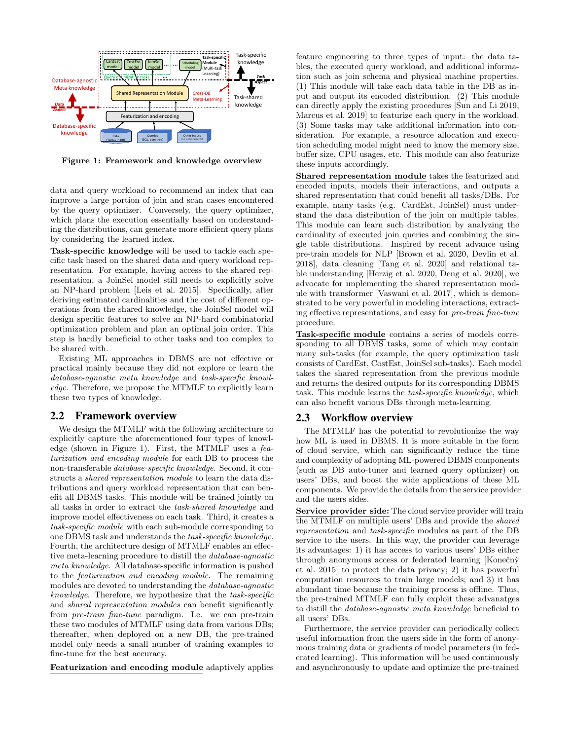

Figure 1: Framework and knowledge overview

data and query workload to recommend an index that can improve a large portion of join and scan cases encountered by the query optimizer. Conversely, the query optimizer, which plans the execution essentially based on understanding the distributions, can generate more efficient query plans by considering the learned index.

Task-specific knowledge will be used to tackle each specific task based on the shared data and query workload representation. For example, having access to the shared representation, a JoinSel model still needs to explicitly solve an NP-hard problem [Leis et al. 2015]. Specifically, after deriving estimated cardinalities and the cost of different operations from the shared knowledge, the JoinSel model will design specific features to solve an NP-hard combinatorial optimization problem and plan an optimal join order. This step is hardly beneficial to other tasks and too complex to be shared with.

Existing ML approaches in DBMS are not effective or practical mainly because they did not explore or learn the database-agnostic meta knowledge and task-specific knowledge. Therefore, we propose the MTMLF to explicitly learn these two types of knowledge.

#### 2.2 Framework overview

We design the MTMLF with the following architecture to explicitly capture the aforementioned four types of knowledge (shown in Figure 1). First, the MTMLF uses a featurization and encoding module for each DB to process the non-transferable database-specific knowledge. Second, it constructs a shared representation module to learn the data distributions and query workload representation that can benefit all DBMS tasks. This module will be trained jointly on all tasks in order to extract the task-shared knowledge and improve model effectiveness on each task. Third, it creates a task-specific module with each sub-module corresponding to one DBMS task and understands the task-specific knowledge. Fourth, the architecture design of MTMLF enables an effective meta-learning procedure to distill the database-agnostic meta knowledge. All database-specific information is pushed to the featurization and encoding module. The remaining modules are devoted to understanding the database-agnostic knowledge. Therefore, we hypothesize that the task-specific and shared representation modules can benefit significantly from pre-train fine-tune paradigm. I.e. we can pre-train these two modules of MTMLF using data from various DBs; thereafter, when deployed on a new DB, the pre-trained model only needs a small number of training examples to fine-tune for the best accuracy.

Featurization and encoding module adaptively applies

feature engineering to three types of input: the data tables, the executed query workload, and additional information such as join schema and physical machine properties. (1) This module will take each data table in the DB as input and output its encoded distribution. (2) This module can directly apply the existing procedures [Sun and Li 2019, Marcus et al. 2019] to featurize each query in the workload. (3) Some tasks may take additional information into consideration. For example, a resource allocation and execution scheduling model might need to know the memory size, buffer size, CPU usages, etc. This module can also featurize these inputs accordingly.

Shared representation module takes the featurized and encoded inputs, models their interactions, and outputs a shared representation that could benefit all tasks/DBs. For example, many tasks (e.g. CardEst, JoinSel) must understand the data distribution of the join on multiple tables. This module can learn such distribution by analyzing the cardinality of executed join queries and combining the single table distributions. Inspired by recent advance using pre-train models for NLP [Brown et al. 2020, Devlin et al. 2018], data cleaning [Tang et al. 2020] and relational table understanding [Herzig et al. 2020, Deng et al. 2020], we advocate for implementing the shared representation module with transformer [Vaswani et al. 2017], which is demonstrated to be very powerful in modeling interactions, extracting effective representations, and easy for pre-train fine-tune procedure.

Task-specific module contains a series of models corresponding to all DBMS tasks, some of which may contain many sub-tasks (for example, the query optimization task consists of CardEst, CostEst, JoinSel sub-tasks). Each model takes the shared representation from the previous module and returns the desired outputs for its corresponding DBMS task. This module learns the task-specific knowledge, which can also benefit various DBs through meta-learning.

#### 2.3 Workflow overview

The MTMLF has the potential to revolutionize the way how ML is used in DBMS. It is more suitable in the form of cloud service, which can significantly reduce the time and complexity of adopting ML-powered DBMS components (such as DB auto-tuner and learned query optimizer) on users' DBs, and boost the wide applications of these ML components. We provide the details from the service provider and the users sides.

Service provider side: The cloud service provider will train the MTMLF on multiple users' DBs and provide the shared representation and task-specific modules as part of the DB service to the users. In this way, the provider can leverage its advantages: 1) it has access to various users' DBs either through anonymous access or federated learning [Konečnỳ et al. 2015] to protect the data privacy; 2) it has powerful computation resources to train large models; and 3) it has abundant time because the training process is offline. Thus, the pre-trained MTMLF can fully exploit these advanatges to distill the database-agnostic meta knowledge beneficial to all users' DBs.

Furthermore, the service provider can periodically collect useful information from the users side in the form of anonymous training data or gradients of model parameters (in federated learning). This information will be used continuously and asynchronously to update and optimize the pre-trained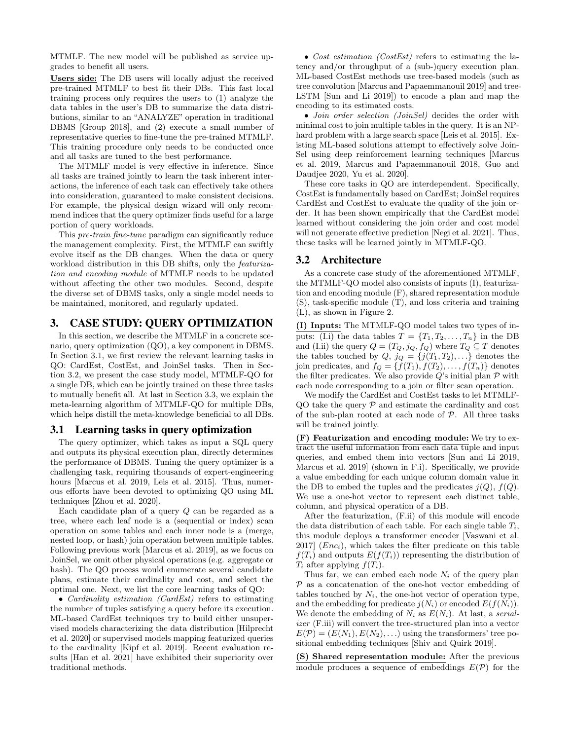MTMLF. The new model will be published as service upgrades to benefit all users.

Users side: The DB users will locally adjust the received pre-trained MTMLF to best fit their DBs. This fast local training process only requires the users to (1) analyze the data tables in the user's DB to summarize the data distributions, similar to an "ANALYZE" operation in traditional DBMS [Group 2018], and (2) execute a small number of representative queries to fine-tune the pre-trained MTMLF. This training procedure only needs to be conducted once and all tasks are tuned to the best performance.

The MTMLF model is very effective in inference. Since all tasks are trained jointly to learn the task inherent interactions, the inference of each task can effectively take others into consideration, guaranteed to make consistent decisions. For example, the physical design wizard will only recommend indices that the query optimizer finds useful for a large portion of query workloads.

This pre-train fine-tune paradigm can significantly reduce the management complexity. First, the MTMLF can swiftly evolve itself as the DB changes. When the data or query workload distribution in this DB shifts, only the featurization and encoding module of MTMLF needs to be updated without affecting the other two modules. Second, despite the diverse set of DBMS tasks, only a single model needs to be maintained, monitored, and regularly updated.

## 3. CASE STUDY: QUERY OPTIMIZATION

In this section, we describe the MTMLF in a concrete scenario, query optimization (QO), a key component in DBMS. In Section 3.1, we first review the relevant learning tasks in QO: CardEst, CostEst, and JoinSel tasks. Then in Section 3.2, we present the case study model, MTMLF-QO for a single DB, which can be jointly trained on these three tasks to mutually benefit all. At last in Section 3.3, we explain the meta-learning algorithm of MTMLF-QO for multiple DBs, which helps distill the meta-knowledge beneficial to all DBs.

#### 3.1 Learning tasks in query optimization

The query optimizer, which takes as input a SQL query and outputs its physical execution plan, directly determines the performance of DBMS. Tuning the query optimizer is a challenging task, requiring thousands of expert-engineering hours [Marcus et al. 2019, Leis et al. 2015]. Thus, numerous efforts have been devoted to optimizing QO using ML techniques [Zhou et al. 2020].

Each candidate plan of a query Q can be regarded as a tree, where each leaf node is a (sequential or index) scan operation on some tables and each inner node is a (merge, nested loop, or hash) join operation between multiple tables. Following previous work [Marcus et al. 2019], as we focus on JoinSel, we omit other physical operations (e.g. aggregate or hash). The QO process would enumerate several candidate plans, estimate their cardinality and cost, and select the optimal one. Next, we list the core learning tasks of QO:

• *Cardinality estimation (CardEst)* refers to estimating the number of tuples satisfying a query before its execution. ML-based CardEst techniques try to build either unsupervised models characterizing the data distribution [Hilprecht et al. 2020] or supervised models mapping featurized queries to the cardinality [Kipf et al. 2019]. Recent evaluation results [Han et al. 2021] have exhibited their superiority over traditional methods.

• Cost estimation (CostEst) refers to estimating the latency and/or throughput of a (sub-)query execution plan. ML-based CostEst methods use tree-based models (such as tree convolution [Marcus and Papaemmanouil 2019] and tree-LSTM [Sun and Li 2019]) to encode a plan and map the encoding to its estimated costs.

• Join order selection (JoinSel) decides the order with minimal cost to join multiple tables in the query. It is an NPhard problem with a large search space [Leis et al. 2015]. Existing ML-based solutions attempt to effectively solve Join-Sel using deep reinforcement learning techniques [Marcus et al. 2019, Marcus and Papaemmanouil 2018, Guo and Daudjee 2020, Yu et al. 2020].

These core tasks in QO are interdependent. Specifically, CostEst is fundamentally based on CardEst; JoinSel requires CardEst and CostEst to evaluate the quality of the join order. It has been shown empirically that the CardEst model learned without considering the join order and cost model will not generate effective prediction [Negi et al. 2021]. Thus, these tasks will be learned jointly in MTMLF-QO.

## 3.2 Architecture

As a concrete case study of the aforementioned MTMLF, the MTMLF-QO model also consists of inputs (I), featurization and encoding module (F), shared representation module (S), task-specific module (T), and loss criteria and training (L), as shown in Figure 2.

(I) Inputs: The MTMLF-QO model takes two types of inputs: (I.i) the data tables  $T = \{T_1, T_2, \ldots, T_n\}$  in the DB and (I.ii) the query  $Q = (T_Q, j_Q, f_Q)$  where  $T_Q \subseteq T$  denotes the tables touched by  $Q, j_Q = \{j(T_1, T_2), \ldots\}$  denotes the join predicates, and  $f_Q = \{f(T_1), f(T_2), \ldots, f(T_n)\}\$ denotes the filter predicates. We also provide  $Q$ 's initial plan  $P$  with each node corresponding to a join or filter scan operation.

We modify the CardEst and CostEst tasks to let MTMLF- $QO$  take the query  $P$  and estimate the cardinality and cost of the sub-plan rooted at each node of  $P$ . All three tasks will be trained jointly.

(F) Featurization and encoding module: We try to extract the useful information from each data tuple and input queries, and embed them into vectors [Sun and Li 2019, Marcus et al. 2019] (shown in F.i). Specifically, we provide a value embedding for each unique column domain value in the DB to embed the tuples and the predicates  $j(Q)$ ,  $f(Q)$ . We use a one-hot vector to represent each distinct table, column, and physical operation of a DB.

After the featurization, (F.ii) of this module will encode the data distribution of each table. For each single table  $T_i$ , this module deploys a transformer encoder [Vaswani et al. 2017]  $(Enc<sub>i</sub>)$ , which takes the filter predicate on this table  $f(T_i)$  and outputs  $E(f(T_i))$  representing the distribution of  $T_i$  after applying  $f(T_i)$ .

Thus far, we can embed each node  $N_i$  of the query plan  $P$  as a concatenation of the one-hot vector embedding of tables touched by  $N_i$ , the one-hot vector of operation type, and the embedding for predicate  $j(N_i)$  or encoded  $E(f(N_i))$ . We denote the embedding of  $N_i$  as  $E(N_i)$ . At last, a serializer (F.iii) will convert the tree-structured plan into a vector  $E(\mathcal{P}) = (E(N_1), E(N_2), \ldots)$  using the transformers' tree positional embedding techniques [Shiv and Quirk 2019].

(S) Shared representation module: After the previous module produces a sequence of embeddings  $E(\mathcal{P})$  for the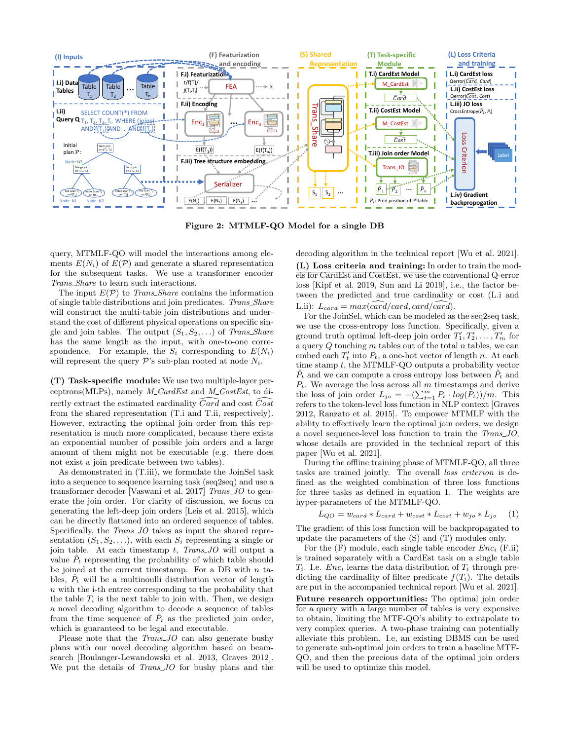

Figure 2: MTMLF-QO Model for a single DB

query, MTMLF-QO will model the interactions among elements  $E(N_i)$  of  $E(\mathcal{P})$  and generate a shared representation for the subsequent tasks. We use a transformer encoder Trans Share to learn such interactions.

The input  $E(\mathcal{P})$  to *Trans\_Share* contains the information of single table distributions and join predicates. Trans\_Share will construct the multi-table join distributions and understand the cost of different physical operations on specific single and join tables. The output  $(S_1, S_2, \ldots)$  of Trans\_Share has the same length as the input, with one-to-one correspondence. For example, the  $S_i$  corresponding to  $E(N_i)$ will represent the query  $\mathcal{P}$ 's sub-plan rooted at node  $N_i$ .

(T) Task-specific module: We use two multiple-layer perceptrons(MLPs), namely  $M_{\sim}$ CardEst and  $M_{\sim}$ CostEst, to directly extract the estimated cardinality  $\widehat{Card}$  and cost  $\widehat{Cost}$ from the shared representation (T.i and T.ii, respectively). However, extracting the optimal join order from this representation is much more complicated, because there exists an exponential number of possible join orders and a large amount of them might not be executable (e.g. there does not exist a join predicate between two tables).

As demonstrated in (T.iii), we formulate the JoinSel task into a sequence to sequence learning task (seq2seq) and use a transformer decoder [Vaswani et al. 2017] Trans\_JO to generate the join order. For clarity of discussion, we focus on generating the left-deep join orders [Leis et al. 2015], which can be directly flattened into an ordered sequence of tables. Specifically, the Trans JO takes as input the shared representation  $(S_1, S_2, \ldots)$ , with each  $S_i$  representing a single or join table. At each timestamp  $t$ , Trans JO will output a value  $\hat{P}_t$  representing the probability of which table should be joined at the current timestamp. For a DB with  $n$  tables,  $\hat{P}_t$  will be a multinoulli distribution vector of length n with the i-th entree corresponding to the probability that the table  $T_i$  is the next table to join with. Then, we design a novel decoding algorithm to decode a sequence of tables from the time sequence of  $P_t$  as the predicted join order, which is guaranteed to be legal and executable.

Please note that the *Trans\_JO* can also generate bushy plans with our novel decoding algorithm based on beamsearch [Boulanger-Lewandowski et al. 2013, Graves 2012]. We put the details of *Trans\_JO* for bushy plans and the decoding algorithm in the technical report [Wu et al. 2021].

(L) Loss criteria and training: In order to train the models for CardEst and CostEst, we use the conventional Q-error loss [Kipf et al. 2019, Sun and Li 2019], i.e., the factor between the predicted and true cardinality or cost (L.i and L.ii):  $L_{card} = max(\widehat{card}/card, card/\widehat{card}).$ 

For the JoinSel, which can be modeled as the seq2seq task, we use the cross-entropy loss function. Specifically, given a ground truth optimal left-deep join order  $T'_1, T'_2, \ldots, T'_m$  for a query  $Q$  touching  $m$  tables out of the total  $n$  tables, we can embed each  $T'_t$  into  $P_t$ , a one-hot vector of length n. At each time stamp t, the MTMLF-QO outputs a probability vector  $\hat{P}_t$  and we can compute a cross entropy loss between  $\hat{P}_t$  and  $P_t$ . We average the loss across all m timestamps and derive the loss of join order  $L_{jo} = -\left(\sum_{t=1}^{m} P_t \cdot log(\hat{P}_t)\right)/m$ . This refers to the token-level loss function in NLP context [Graves 2012, Ranzato et al. 2015]. To empower MTMLF with the ability to effectively learn the optimal join orders, we design a novel sequence-level loss function to train the Trans JO, whose details are provided in the technical report of this paper [Wu et al. 2021].

During the offline training phase of MTMLF-QO, all three tasks are trained jointly. The overall loss criterion is defined as the weighted combination of three loss functions for three tasks as defined in equation 1. The weights are hyper-parameters of the MTMLF-QO.

$$
L_{QO} = w_{card} * L_{card} + w_{cost} * L_{cost} + w_{jo} * L_{jo} \qquad (1)
$$

The gradient of this loss function will be backpropagated to update the parameters of the (S) and (T) modules only.

For the  $(F)$  module, each single table encoder  $Enc_i$   $(F.ii)$ is trained separately with a CardEst task on a single table  $T_i$ . I.e. *Enc<sub>i</sub>* learns the data distribution of  $T_i$  through predicting the cardinality of filter predicate  $f(T_i)$ . The details are put in the accompanied technical report [Wu et al. 2021]. Future research opportunities: The optimal join order for a query with a large number of tables is very expensive to obtain, limiting the MTF-QO's ability to extrapolate to very complex queries. A two-phase training can potentially alleviate this problem. I.e, an existing DBMS can be used to generate sub-optimal join orders to train a baseline MTF-QO, and then the precious data of the optimal join orders will be used to optimize this model.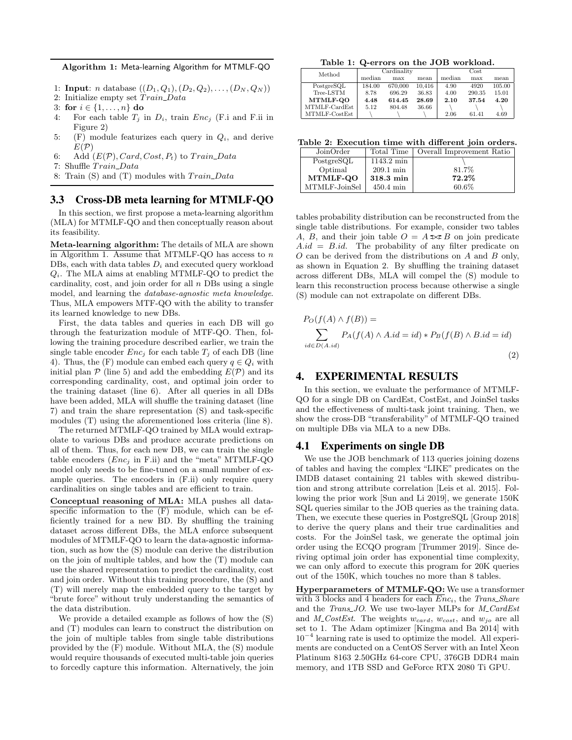Algorithm 1: Meta-learning Algorithm for MTMLF-QO

1: **Input**: *n* database  $((D_1, Q_1), (D_2, Q_2), \ldots, (D_N, Q_N))$ 

2: Initialize empty set  $Train\_Data$ 

- 3: for  $i \in \{1, ..., n\}$  do
- 4: For each table  $T_j$  in  $D_i$ , train  $Enc_j$  (F.i and F.ii in Figure 2)
- 5: (F) module featurizes each query in  $Q_i$ , and derive  $E(\mathcal{P})$
- 6: Add  $(E(\mathcal{P}), Card, Cost, P_t)$  to  $Train\_Data$
- 7: Shuffle Train\_Data
- 8: Train  $(S)$  and  $(T)$  modules with  $Train\_Data$

## 3.3 Cross-DB meta learning for MTMLF-QO

In this section, we first propose a meta-learning algorithm (MLA) for MTMLF-QO and then conceptually reason about its feasibility.

Meta-learning algorithm: The details of MLA are shown in Algorithm 1. Assume that MTMLF-QO has access to  $n$ DBs, each with data tables  $D_i$  and executed query workload  $Q_i$ . The MLA aims at enabling MTMLF-QO to predict the cardinality, cost, and join order for all  $n$  DBs using a single model, and learning the database-agnostic meta knowledge. Thus, MLA empowers MTF-QO with the ability to transfer its learned knowledge to new DBs.

First, the data tables and queries in each DB will go through the featurization module of MTF-QO. Then, following the training procedure described earlier, we train the single table encoder  $Enc<sub>i</sub>$  for each table  $T<sub>i</sub>$  of each DB (line 4). Thus, the (F) module can embed each query  $q \in Q_i$  with initial plan  $\mathcal P$  (line 5) and add the embedding  $E(\mathcal P)$  and its corresponding cardinality, cost, and optimal join order to the training dataset (line 6). After all queries in all DBs have been added, MLA will shuffle the training dataset (line 7) and train the share representation (S) and task-specific modules (T) using the aforementioned loss criteria (line 8).

The returned MTMLF-QO trained by MLA would extrapolate to various DBs and produce accurate predictions on all of them. Thus, for each new DB, we can train the single table encoders  $(Enc<sub>j</sub>$  in F.ii) and the "meta" MTMLF-QO model only needs to be fine-tuned on a small number of example queries. The encoders in (F.ii) only require query cardinalities on single tables and are efficient to train.

Conceptual reasoning of MLA: MLA pushes all dataspecific information to the  $(F)$  module, which can be efficiently trained for a new BD. By shuffling the training dataset across different DBs, the MLA enforce subsequent modules of MTMLF-QO to learn the data-agnostic information, such as how the (S) module can derive the distribution on the join of multiple tables, and how the (T) module can use the shared representation to predict the cardinality, cost and join order. Without this training procedure, the (S) and (T) will merely map the embedded query to the target by "brute force" without truly understanding the semantics of the data distribution.

We provide a detailed example as follows of how the (S) and (T) modules can learn to construct the distribution on the join of multiple tables from single table distributions provided by the (F) module. Without MLA, the (S) module would require thousands of executed multi-table join queries to forcedly capture this information. Alternatively, the join

Table 1: Q-errors on the JOB workload.

| rapid 1. w chrone on the bord workload. |             |         |        |        |        |        |
|-----------------------------------------|-------------|---------|--------|--------|--------|--------|
| Method                                  | Cardinality |         |        | Cost   |        |        |
|                                         | median      | max     | mean   | median | max    | mean   |
| PostgreSQL                              | 184.00      | 670,000 | 10.416 | 4.90   | 4920   | 105.00 |
| Tree-LSTM                               | 8.78        | 696.29  | 36.83  | 4.00   | 290.35 | 15.01  |
| MTMLF-00                                | 4.48        | 614.45  | 28.69  | 2.10   | 37.54  | 4.20   |
| $MTMLF-CardEst$                         | 5.12        | 804.48  | 36.66  |        |        |        |
| MTMLF-CostEst                           |             |         |        | 2.06   | 61.41  | 4.69   |

Table 2: Execution time with different join orders.

| JoinOrder       | Total Time              | Overall Improvement Ratio |
|-----------------|-------------------------|---------------------------|
| PostgreSQL      | $1143.2 \,\mathrm{min}$ |                           |
| Optimal         | $209.1 \text{ min}$     | 81.7%                     |
| <b>MTMLF-QO</b> | 318.3 min               | 72.2%                     |
| MTMLF-JoinSel   | $450.4 \text{ min}$     | 60.6%                     |

tables probability distribution can be reconstructed from the single table distributions. For example, consider two tables A, B, and their join table  $O = A \rightarrow B$  on join predicate  $A.id = B.id.$  The probability of any filter predicate on  $O$  can be derived from the distributions on  $A$  and  $B$  only, as shown in Equation 2. By shuffling the training dataset across different DBs, MLA will compel the (S) module to learn this reconstruction process because otherwise a single (S) module can not extrapolate on different DBs.

$$
P_O(f(A) \wedge f(B)) =
$$
  

$$
\sum_{id \in D(A.id)} P_A(f(A) \wedge A.id = id) * P_B(f(B) \wedge B.id = id)
$$
  
(2)

## 4. EXPERIMENTAL RESULTS

In this section, we evaluate the performance of MTMLF-QO for a single DB on CardEst, CostEst, and JoinSel tasks and the effectiveness of multi-task joint training. Then, we show the cross-DB "transferability" of MTMLF-QO trained on multiple DBs via MLA to a new DBs.

#### 4.1 Experiments on single DB

We use the JOB benchmark of 113 queries joining dozens of tables and having the complex "LIKE" predicates on the IMDB dataset containing 21 tables with skewed distribution and strong attribute correlation [Leis et al. 2015]. Following the prior work [Sun and Li 2019], we generate 150K SQL queries similar to the JOB queries as the training data. Then, we execute these queries in PostgreSQL [Group 2018] to derive the query plans and their true cardinalities and costs. For the JoinSel task, we generate the optimal join order using the ECQO program [Trummer 2019]. Since deriving optimal join order has exponential time complexity, we can only afford to execute this program for 20K queries out of the 150K, which touches no more than 8 tables.

Hyperparameters of MTMLF-QO: We use a transformer with 3 blocks and 4 headers for each  $Enc_i$ , the Trans Share and the *Trans\_JO*. We use two-layer MLPs for *M\_CardEst* and M\_CostEst. The weights  $w_{card}$ ,  $w_{cost}$ , and  $w_{io}$  are all set to 1. The Adam optimizer [Kingma and Ba 2014] with 10<sup>−</sup><sup>4</sup> learning rate is used to optimize the model. All experiments are conducted on a CentOS Server with an Intel Xeon Platinum 8163 2.50GHz 64-core CPU, 376GB DDR4 main memory, and 1TB SSD and GeForce RTX 2080 Ti GPU.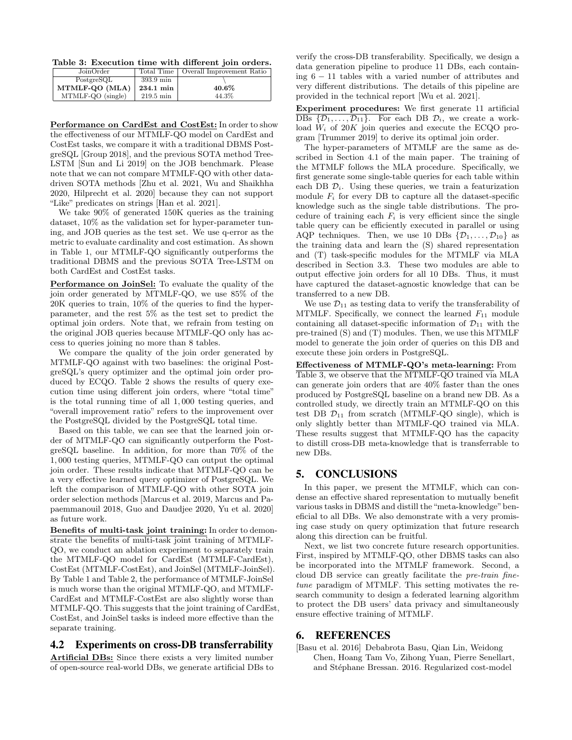Table 3: Execution time with different join orders.

| JoinOrder         | Total Time          | Overall Improvement Ratio |
|-------------------|---------------------|---------------------------|
| PostgreSQL        | 393.9 min           |                           |
| MTMLF-QO (MLA)    | 234.1 min           | 40.6%                     |
| MTMLF-QO (single) | $219.5 \text{ min}$ | 44.3%                     |

Performance on CardEst and CostEst: In order to show the effectiveness of our MTMLF-QO model on CardEst and CostEst tasks, we compare it with a traditional DBMS PostgreSQL [Group 2018], and the previous SOTA method Tree-LSTM [Sun and Li 2019] on the JOB benchmark. Please note that we can not compare MTMLF-QO with other datadriven SOTA methods [Zhu et al. 2021, Wu and Shaikhha 2020, Hilprecht et al. 2020] because they can not support "Like" predicates on strings [Han et al. 2021].

We take 90% of generated 150K queries as the training dataset, 10% as the validation set for hyper-parameter tuning, and JOB queries as the test set. We use q-error as the metric to evaluate cardinality and cost estimation. As shown in Table 1, our MTMLF-QO significantly outperforms the traditional DBMS and the previous SOTA Tree-LSTM on both CardEst and CostEst tasks.

Performance on JoinSel: To evaluate the quality of the join order generated by MTMLF-QO, we use 85% of the 20K queries to train, 10% of the queries to find the hyperparameter, and the rest 5% as the test set to predict the optimal join orders. Note that, we refrain from testing on the original JOB queries because MTMLF-QO only has access to queries joining no more than 8 tables.

We compare the quality of the join order generated by MTMLF-QO against with two baselines: the original PostgreSQL's query optimizer and the optimal join order produced by ECQO. Table 2 shows the results of query execution time using different join orders, where "total time" is the total running time of all 1, 000 testing queries, and "overall improvement ratio" refers to the improvement over the PostgreSQL divided by the PostgreSQL total time.

Based on this table, we can see that the learned join order of MTMLF-QO can significantly outperform the PostgreSQL baseline. In addition, for more than 70% of the 1, 000 testing queries, MTMLF-QO can output the optimal join order. These results indicate that MTMLF-QO can be a very effective learned query optimizer of PostgreSQL. We left the comparison of MTMLF-QO with other SOTA join order selection methods [Marcus et al. 2019, Marcus and Papaemmanouil 2018, Guo and Daudjee 2020, Yu et al. 2020] as future work.

Benefits of multi-task joint training: In order to demonstrate the benefits of multi-task joint training of MTMLF-QO, we conduct an ablation experiment to separately train the MTMLF-QO model for CardEst (MTMLF-CardEst), CostEst (MTMLF-CostEst), and JoinSel (MTMLF-JoinSel). By Table 1 and Table 2, the performance of MTMLF-JoinSel is much worse than the original MTMLF-QO, and MTMLF-CardEst and MTMLF-CostEst are also slightly worse than MTMLF-QO. This suggests that the joint training of CardEst, CostEst, and JoinSel tasks is indeed more effective than the separate training.

## 4.2 Experiments on cross-DB transferrability

Artificial DBs: Since there exists a very limited number of open-source real-world DBs, we generate artificial DBs to verify the cross-DB transferability. Specifically, we design a data generation pipeline to produce 11 DBs, each containing 6 − 11 tables with a varied number of attributes and very different distributions. The details of this pipeline are provided in the technical report [Wu et al. 2021].

Experiment procedures: We first generate 11 artificial  $\overline{\mathrm{DBs} \{D_1, \ldots, D_{11}}\}.$  For each DB  $D_i$ , we create a workload  $W_i$  of 20K join queries and execute the ECQO program [Trummer 2019] to derive its optimal join order.

The hyper-parameters of MTMLF are the same as described in Section 4.1 of the main paper. The training of the MTMLF follows the MLA procedure. Specifically, we first generate some single-table queries for each table within each DB  $\mathcal{D}_i$ . Using these queries, we train a featurization module  $F_i$  for every DB to capture all the dataset-specific knowledge such as the single table distributions. The procedure of training each  $F_i$  is very efficient since the single table query can be efficiently executed in parallel or using AQP techniques. Then, we use 10 DBs  $\{\mathcal{D}_1,\ldots,\mathcal{D}_{10}\}\$  as the training data and learn the (S) shared representation and (T) task-specific modules for the MTMLF via MLA described in Section 3.3. These two modules are able to output effective join orders for all 10 DBs. Thus, it must have captured the dataset-agnostic knowledge that can be transferred to a new DB.

We use  $\mathcal{D}_{11}$  as testing data to verify the transferability of MTMLF. Specifically, we connect the learned  $F_{11}$  module containing all dataset-specific information of  $\mathcal{D}_{11}$  with the pre-trained (S) and (T) modules. Then, we use this MTMLF model to generate the join order of queries on this DB and execute these join orders in PostgreSQL.

Effectiveness of MTMLF-QO's meta-learning: From Table 3, we observe that the MTMLF-QO trained via MLA can generate join orders that are 40% faster than the ones produced by PostgreSQL baseline on a brand new DB. As a controlled study, we directly train an MTMLF-QO on this test DB  $\mathcal{D}_{11}$  from scratch (MTMLF-QO single), which is only slightly better than MTMLF-QO trained via MLA. These results suggest that MTMLF-QO has the capacity to distill cross-DB meta-knowledge that is transferrable to new DBs.

## 5. CONCLUSIONS

In this paper, we present the MTMLF, which can condense an effective shared representation to mutually benefit various tasks in DBMS and distill the "meta-knowledge"beneficial to all DBs. We also demonstrate with a very promising case study on query optimization that future research along this direction can be fruitful.

Next, we list two concrete future research opportunities. First, inspired by MTMLF-QO, other DBMS tasks can also be incorporated into the MTMLF framework. Second, a cloud DB service can greatly facilitate the pre-train finetune paradigm of MTMLF. This setting motivates the research community to design a federated learning algorithm to protect the DB users' data privacy and simultaneously ensure effective training of MTMLF.

## 6. REFERENCES

[Basu et al. 2016] Debabrota Basu, Qian Lin, Weidong Chen, Hoang Tam Vo, Zihong Yuan, Pierre Senellart, and Stéphane Bressan. 2016. Regularized cost-model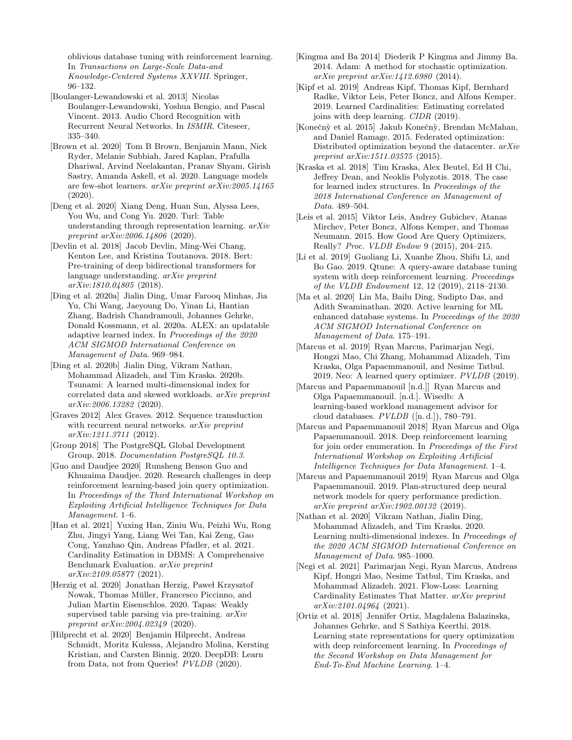oblivious database tuning with reinforcement learning. In Transactions on Large-Scale Data-and Knowledge-Centered Systems XXVIII. Springer, 96–132.

[Boulanger-Lewandowski et al. 2013] Nicolas Boulanger-Lewandowski, Yoshua Bengio, and Pascal Vincent. 2013. Audio Chord Recognition with Recurrent Neural Networks. In ISMIR. Citeseer, 335–340.

[Brown et al. 2020] Tom B Brown, Benjamin Mann, Nick Ryder, Melanie Subbiah, Jared Kaplan, Prafulla Dhariwal, Arvind Neelakantan, Pranav Shyam, Girish Sastry, Amanda Askell, et al. 2020. Language models are few-shot learners. arXiv preprint arXiv:2005.14165 (2020).

[Deng et al. 2020] Xiang Deng, Huan Sun, Alyssa Lees, You Wu, and Cong Yu. 2020. Turl: Table understanding through representation learning. arXiv preprint arXiv:2006.14806 (2020).

[Devlin et al. 2018] Jacob Devlin, Ming-Wei Chang, Kenton Lee, and Kristina Toutanova. 2018. Bert: Pre-training of deep bidirectional transformers for language understanding. arXiv preprint arXiv:1810.04805 (2018).

[Ding et al. 2020a] Jialin Ding, Umar Farooq Minhas, Jia Yu, Chi Wang, Jaeyoung Do, Yinan Li, Hantian Zhang, Badrish Chandramouli, Johannes Gehrke, Donald Kossmann, et al. 2020a. ALEX: an updatable adaptive learned index. In Proceedings of the 2020 ACM SIGMOD International Conference on Management of Data. 969–984.

[Ding et al. 2020b] Jialin Ding, Vikram Nathan, Mohammad Alizadeh, and Tim Kraska. 2020b. Tsunami: A learned multi-dimensional index for correlated data and skewed workloads. arXiv preprint arXiv:2006.13282 (2020).

[Graves 2012] Alex Graves. 2012. Sequence transduction with recurrent neural networks. *arXiv preprint* arXiv:1211.3711 (2012).

[Group 2018] The PostgreSQL Global Development Group. 2018. Documentation PostgreSQL 10.3.

[Guo and Daudjee 2020] Runsheng Benson Guo and Khuzaima Daudjee. 2020. Research challenges in deep reinforcement learning-based join query optimization. In Proceedings of the Third International Workshop on Exploiting Artificial Intelligence Techniques for Data Management. 1–6.

[Han et al. 2021] Yuxing Han, Ziniu Wu, Peizhi Wu, Rong Zhu, Jingyi Yang, Liang Wei Tan, Kai Zeng, Gao Cong, Yanzhao Qin, Andreas Pfadler, et al. 2021. Cardinality Estimation in DBMS: A Comprehensive Benchmark Evaluation. arXiv preprint arXiv:2109.05877 (2021).

[Herzig et al. 2020] Jonathan Herzig, Paweł Krzysztof Nowak, Thomas Muller, Francesco Piccinno, and ¨ Julian Martin Eisenschlos. 2020. Tapas: Weakly supervised table parsing via pre-training. arXiv preprint arXiv:2004.02349 (2020).

[Hilprecht et al. 2020] Benjamin Hilprecht, Andreas Schmidt, Moritz Kulessa, Alejandro Molina, Kersting Kristian, and Carsten Binnig. 2020. DeepDB: Learn from Data, not from Queries! PVLDB (2020).

[Kingma and Ba 2014] Diederik P Kingma and Jimmy Ba. 2014. Adam: A method for stochastic optimization. arXiv preprint arXiv:1412.6980 (2014).

[Kipf et al. 2019] Andreas Kipf, Thomas Kipf, Bernhard Radke, Viktor Leis, Peter Boncz, and Alfons Kemper. 2019. Learned Cardinalities: Estimating correlated joins with deep learning. CIDR (2019).

[Konečnỳ et al. 2015] Jakub Konečnỳ, Brendan McMahan, and Daniel Ramage. 2015. Federated optimization: Distributed optimization beyond the datacenter. arXiv preprint arXiv:1511.03575 (2015).

[Kraska et al. 2018] Tim Kraska, Alex Beutel, Ed H Chi, Jeffrey Dean, and Neoklis Polyzotis. 2018. The case for learned index structures. In Proceedings of the 2018 International Conference on Management of Data. 489–504.

[Leis et al. 2015] Viktor Leis, Andrey Gubichev, Atanas Mirchev, Peter Boncz, Alfons Kemper, and Thomas Neumann. 2015. How Good Are Query Optimizers, Really? Proc. VLDB Endow 9 (2015), 204–215.

[Li et al. 2019] Guoliang Li, Xuanhe Zhou, Shifu Li, and Bo Gao. 2019. Qtune: A query-aware database tuning system with deep reinforcement learning. Proceedings of the VLDB Endowment 12, 12 (2019), 2118–2130.

[Ma et al. 2020] Lin Ma, Bailu Ding, Sudipto Das, and Adith Swaminathan. 2020. Active learning for ML enhanced database systems. In Proceedings of the 2020 ACM SIGMOD International Conference on Management of Data. 175–191.

[Marcus et al. 2019] Ryan Marcus, Parimarjan Negi, Hongzi Mao, Chi Zhang, Mohammad Alizadeh, Tim Kraska, Olga Papaemmanouil, and Nesime Tatbul. 2019. Neo: A learned query optimizer. PVLDB (2019).

[Marcus and Papaemmanouil [n.d.]] Ryan Marcus and Olga Papaemmanouil. [n.d.]. Wisedb: A learning-based workload management advisor for cloud databases.  $PVLDB$  ([n. d.]), 780–791.

[Marcus and Papaemmanouil 2018] Ryan Marcus and Olga Papaemmanouil. 2018. Deep reinforcement learning for join order enumeration. In Proceedings of the First International Workshop on Exploiting Artificial Intelligence Techniques for Data Management. 1–4.

[Marcus and Papaemmanouil 2019] Ryan Marcus and Olga Papaemmanouil. 2019. Plan-structured deep neural network models for query performance prediction. arXiv preprint arXiv:1902.00132 (2019).

[Nathan et al. 2020] Vikram Nathan, Jialin Ding, Mohammad Alizadeh, and Tim Kraska. 2020. Learning multi-dimensional indexes. In Proceedings of the 2020 ACM SIGMOD International Conference on Management of Data. 985–1000.

[Negi et al. 2021] Parimarjan Negi, Ryan Marcus, Andreas Kipf, Hongzi Mao, Nesime Tatbul, Tim Kraska, and Mohammad Alizadeh. 2021. Flow-Loss: Learning Cardinality Estimates That Matter. arXiv preprint arXiv:2101.04964 (2021).

[Ortiz et al. 2018] Jennifer Ortiz, Magdalena Balazinska, Johannes Gehrke, and S Sathiya Keerthi. 2018. Learning state representations for query optimization with deep reinforcement learning. In *Proceedings of* the Second Workshop on Data Management for End-To-End Machine Learning. 1–4.